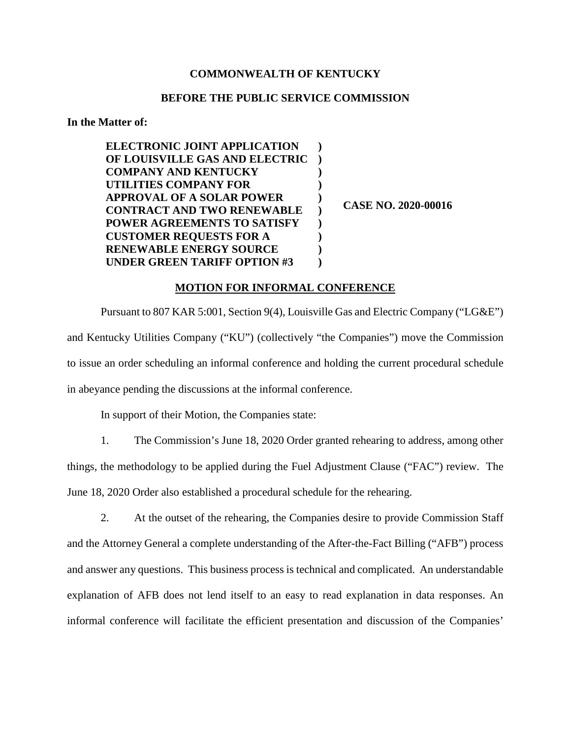## **COMMONWEALTH OF KENTUCKY**

## **BEFORE THE PUBLIC SERVICE COMMISSION**

**In the Matter of:** 

| <b>ELECTRONIC JOINT APPLICATION</b> |  |
|-------------------------------------|--|
| OF LOUISVILLE GAS AND ELECTRIC      |  |
| <b>COMPANY AND KENTUCKY</b>         |  |
| UTILITIES COMPANY FOR               |  |
| <b>APPROVAL OF A SOLAR POWER</b>    |  |
| <b>CONTRACT AND TWO RENEWABLE</b>   |  |
| <b>POWER AGREEMENTS TO SATISFY</b>  |  |
| <b>CUSTOMER REQUESTS FOR A</b>      |  |
| <b>RENEWABLE ENERGY SOURCE</b>      |  |
| <b>UNDER GREEN TARIFF OPTION #3</b> |  |

**CASE NO. 2020-00016** 

## **MOTION FOR INFORMAL CONFERENCE**

Pursuant to 807 KAR 5:001, Section 9(4), Louisville Gas and Electric Company ("LG&E") and Kentucky Utilities Company ("KU") (collectively "the Companies") move the Commission to issue an order scheduling an informal conference and holding the current procedural schedule in abeyance pending the discussions at the informal conference.

In support of their Motion, the Companies state:

1. The Commission's June 18, 2020 Order granted rehearing to address, among other things, the methodology to be applied during the Fuel Adjustment Clause ("FAC") review. The June 18, 2020 Order also established a procedural schedule for the rehearing.

2. At the outset of the rehearing, the Companies desire to provide Commission Staff and the Attorney General a complete understanding of the After-the-Fact Billing ("AFB") process and answer any questions. This business process is technical and complicated. An understandable explanation of AFB does not lend itself to an easy to read explanation in data responses. An informal conference will facilitate the efficient presentation and discussion of the Companies'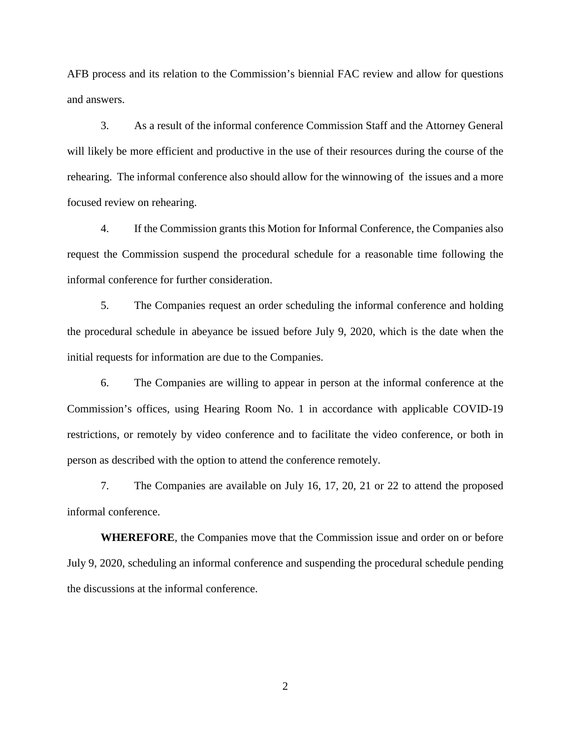AFB process and its relation to the Commission's biennial FAC review and allow for questions and answers.

3. As a result of the informal conference Commission Staff and the Attorney General will likely be more efficient and productive in the use of their resources during the course of the rehearing. The informal conference also should allow for the winnowing of the issues and a more focused review on rehearing.

4. If the Commission grants this Motion for Informal Conference, the Companies also request the Commission suspend the procedural schedule for a reasonable time following the informal conference for further consideration.

5. The Companies request an order scheduling the informal conference and holding the procedural schedule in abeyance be issued before July 9, 2020, which is the date when the initial requests for information are due to the Companies.

6. The Companies are willing to appear in person at the informal conference at the Commission's offices, using Hearing Room No. 1 in accordance with applicable COVID-19 restrictions, or remotely by video conference and to facilitate the video conference, or both in person as described with the option to attend the conference remotely.

7. The Companies are available on July 16, 17, 20, 21 or 22 to attend the proposed informal conference.

**WHEREFORE**, the Companies move that the Commission issue and order on or before July 9, 2020, scheduling an informal conference and suspending the procedural schedule pending the discussions at the informal conference.

2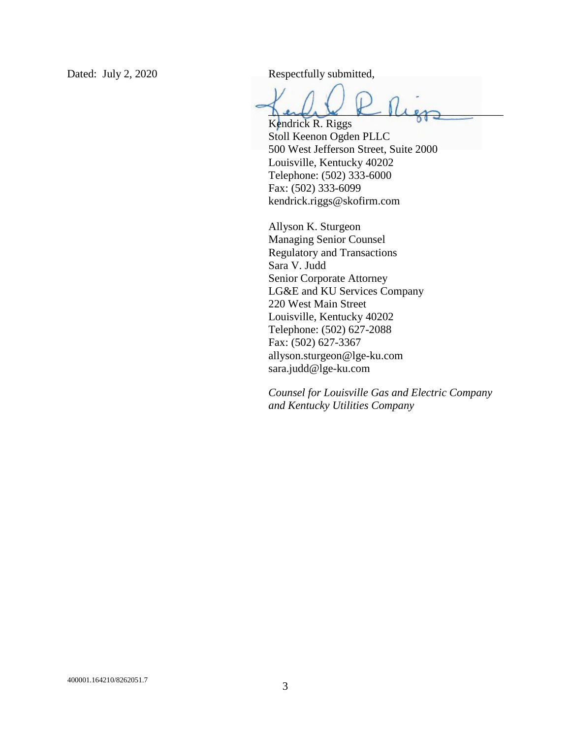Dated: July 2, 2020 Respectfully submitted,

 $\lim_{k\to\infty}L_k\leq L$ Kendrick R. Riggs

Stoll Keenon Ogden PLLC 500 West Jefferson Street, Suite 2000 Louisville, Kentucky 40202 Telephone: (502) 333-6000 Fax: (502) 333-6099 kendrick.riggs@skofirm.com

Allyson K. Sturgeon Managing Senior Counsel Regulatory and Transactions Sara V. Judd Senior Corporate Attorney LG&E and KU Services Company 220 West Main Street Louisville, Kentucky 40202 Telephone: (502) 627-2088 Fax: (502) 627-3367 allyson.sturgeon@lge-ku.com sara.judd@lge-ku.com

*Counsel for Louisville Gas and Electric Company and Kentucky Utilities Company*